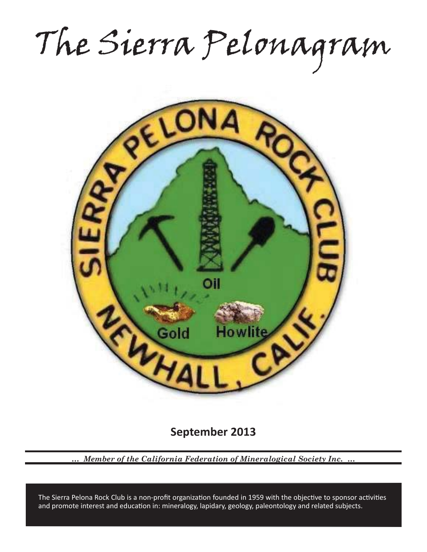The Sierra Pelonagram



**September 2013**

*… Member of the California Federation of Mineralogical Society Inc. …*

and promote interest and education in: mineralogy, lapidary, geology, paleontology and related subjects. The Sierra Pelona Rock Club is a non-profit organization founded in 1959 with the objective to sponsor activities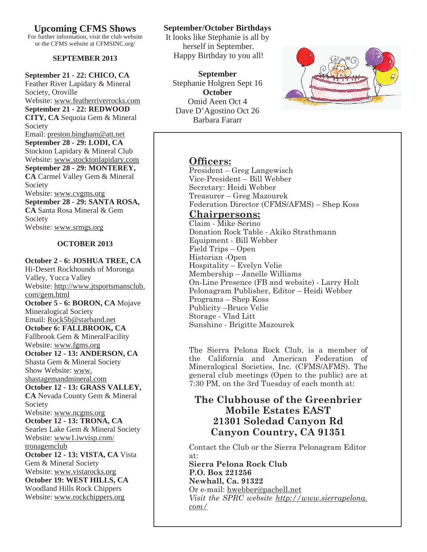**Upcoming CFMS Shows**

For further information, visit the club website or the CFMS website at CFMSINC.org/

#### **SEPTEMBER 2013**

**September 21 - 22: CHICO, CA** Feather River Lapidary & Mineral Society, Oroville Website: www.featherriverrocks.com **September 21 - 22: REDWOOD CITY, CA** Sequoia Gem & Mineral Society Email: preston.bingham@att.net **September 28 - 29: LODI, CA** Stockton Lapidary & Mineral Club Website: www.stocktonlapidary.com **September 28 - 29: MONTEREY, CA** Carmel Valley Gem & Mineral Society Website: www.cvgms.org **September 28 - 29: SANTA ROSA, CA** Santa Rosa Mineral & Gem Society Website: www.srmgs.org

#### **OCTOBER 2013**

**October 2 - 6: JOSHUA TREE, CA** Hi-Desert Rockhounds of Moronga Valley, Yucca Valley Website: http://www.jtsportsmansclub. com/gem.html **October 5 - 6: BORON, CA** Mojave Mineralogical Society Email: Rock5b@starband.net **October 6: FALLBROOK, CA** Fallbrook Gem & MineralFacility Website: www.fgms.org **October 12 - 13: ANDERSON, CA** Shasta Gem & Mineral Society Show Website: www. shastagemandmineral.com **October 12 - 13: GRASS VALLEY, CA** Nevada County Gem & Mineral Society Website: www.ncgms.org **October 12 - 13: TRONA, CA** Searles Lake Gem & Mineral Society Website: www1.iwvisp.com/ tronagemclub **October 12 - 13: VISTA, CA** Vista Gem & Mineral Society Website: www.vistarocks.org **October 19: WEST HILLS, CA** Woodland Hills Rock Chippers Website: www.rockchippers.org

## **September/October Birthdays**

It looks like Stephanie is all by herself in September. Happy Birthday to you all!

**September** Stephanie Holgren Sept 16 **October** Omid Aeen Oct 4 Dave D'Agostino Oct 26 Barbara Fararr



## **Officers:**

President – Greg Langewisch Vice-President – Bill Webber Secretary: Heidi Webber Treasurer – Greg Mazourek Federation Director (CFMS/AFMS) – Shep Koss

## **Chairpersons:**

Claim - Mike Serino Donation Rock Table - Akiko Strathmann Equipment - Bill Webber Field Trips – Open Historian -Open Hospitality – Evelyn Velie Membership – Janelle Williams On-Line Presence (FB and website) - Larry Holt Pelonagram Publisher, Editor – Heidi Webber Programs – Shep Koss Publicity –Bruce Velie Storage - Vlad Litt Sunshine - Brigitte Mazourek

The Sierra Pelona Rock Club, is a member of the California and American Federation of Mineralogical Societies, Inc. (CFMS/AFMS). The general club meetings (Open to the public) are at 7:30 PM, on the 3rd Tuesday of each month at:

# **The Clubhouse of the Greenbrier Mobile Estates EAST 21301 Soledad Canyon Rd Canyon Country, CA 91351**

Contact the Club or the Sierra Pelonagram Editor at:

**Sierra Pelona Rock Club P.O. Box 221256 Newhall, Ca. 91322** Or e-mail: hwebber@pacbell.net

*Visit the SPRC website http://www.sierrapelona. com/*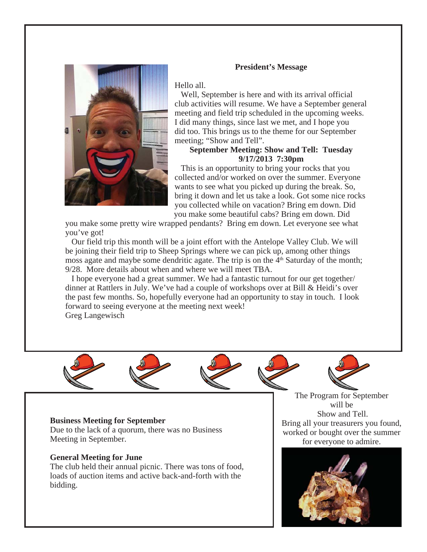

#### **President's Message**

Hello all.

 Well, September is here and with its arrival official club activities will resume. We have a September general meeting and field trip scheduled in the upcoming weeks. I did many things, since last we met, and I hope you did too. This brings us to the theme for our September meeting; "Show and Tell".

#### **September Meeting: Show and Tell: Tuesday 9/17/2013 7:30pm**

 This is an opportunity to bring your rocks that you collected and/or worked on over the summer. Everyone wants to see what you picked up during the break. So, bring it down and let us take a look. Got some nice rocks you collected while on vacation? Bring em down. Did you make some beautiful cabs? Bring em down. Did

you make some pretty wire wrapped pendants? Bring em down. Let everyone see what you've got!

 Our field trip this month will be a joint effort with the Antelope Valley Club. We will be joining their field trip to Sheep Springs where we can pick up, among other things moss agate and maybe some dendritic agate. The trip is on the  $4<sup>th</sup>$  Saturday of the month; 9/28. More details about when and where we will meet TBA.

 I hope everyone had a great summer. We had a fantastic turnout for our get together/ dinner at Rattlers in July. We've had a couple of workshops over at Bill & Heidi's over the past few months. So, hopefully everyone had an opportunity to stay in touch. I look forward to seeing everyone at the meeting next week! Greg Langewisch



#### **Business Meeting for September**

Due to the lack of a quorum, there was no Business Meeting in September.

#### **General Meeting for June**

The club held their annual picnic. There was tons of food, loads of auction items and active back-and-forth with the bidding.

The Program for September will be Show and Tell. Bring all your treasurers you found, worked or bought over the summer for everyone to admire.

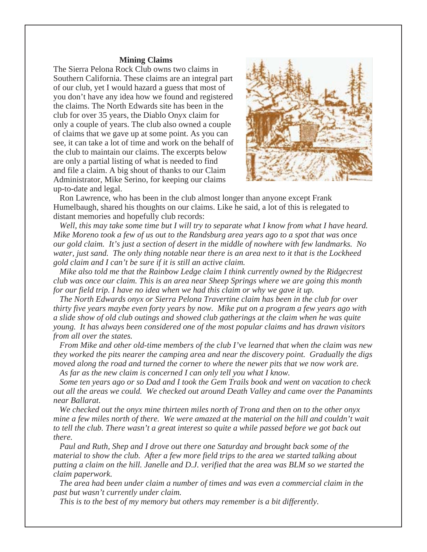#### **Mining Claims**

The Sierra Pelona Rock Club owns two claims in Southern California. These claims are an integral part of our club, yet I would hazard a guess that most of you don't have any idea how we found and registered the claims. The North Edwards site has been in the club for over 35 years, the Diablo Onyx claim for only a couple of years. The club also owned a couple of claims that we gave up at some point. As you can see, it can take a lot of time and work on the behalf of the club to maintain our claims. The excerpts below are only a partial listing of what is needed to find and file a claim. A big shout of thanks to our Claim Administrator, Mike Serino, for keeping our claims up-to-date and legal.



 Ron Lawrence, who has been in the club almost longer than anyone except Frank Humelbaugh, shared his thoughts on our claims. Like he said, a lot of this is relegated to distant memories and hopefully club records:

 *Well, this may take some time but I will try to separate what I know from what I have heard. Mike Moreno took a few of us out to the Randsburg area years ago to a spot that was once our gold claim. It's just a section of desert in the middle of nowhere with few landmarks. No water, just sand. The only thing notable near there is an area next to it that is the Lockheed gold claim and I can't be sure if it is still an active claim.*

 *Mike also told me that the Rainbow Ledge claim I think currently owned by the Ridgecrest club was once our claim. This is an area near Sheep Springs where we are going this month for our field trip. I have no idea when we had this claim or why we gave it up.*

 *The North Edwards onyx or Sierra Pelona Travertine claim has been in the club for over thirty five years maybe even forty years by now. Mike put on a program a few years ago with a slide show of old club outings and showed club gatherings at the claim when he was quite young. It has always been considered one of the most popular claims and has drawn visitors from all over the states.*

 *From Mike and other old-time members of the club I've learned that when the claim was new they worked the pits nearer the camping area and near the discovery point. Gradually the digs moved along the road and turned the corner to where the newer pits that we now work are.*

 *As far as the new claim is concerned I can only tell you what I know.*

 *Some ten years ago or so Dad and I took the Gem Trails book and went on vacation to check out all the areas we could. We checked out around Death Valley and came over the Panamints near Ballarat.*

 *We checked out the onyx mine thirteen miles north of Trona and then on to the other onyx mine a few miles north of there. We were amazed at the material on the hill and couldn't wait to tell the club. There wasn't a great interest so quite a while passed before we got back out there.*

 *Paul and Ruth, Shep and I drove out there one Saturday and brought back some of the material to show the club. After a few more field trips to the area we started talking about putting a claim on the hill. Janelle and D.J. verified that the area was BLM so we started the claim paperwork.*

 *The area had been under claim a number of times and was even a commercial claim in the past but wasn't currently under claim.* 

 *This is to the best of my memory but others may remember is a bit differently.*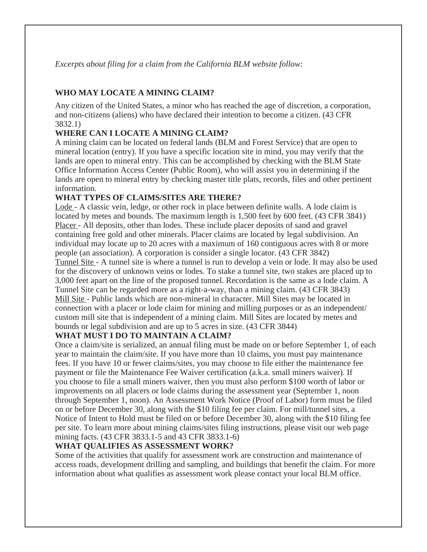*Excerpts about filing for a claim from the California BLM website follow:*

## **WHO MAY LOCATE A MINING CLAIM?**

Any citizen of the United States, a minor who has reached the age of discretion, a corporation, and non-citizens (aliens) who have declared their intention to become a citizen. (43 CFR 3832.1)

## **WHERE CAN I LOCATE A MINING CLAIM?**

A mining claim can be located on federal lands (BLM and Forest Service) that are open to mineral location (entry). If you have a specific location site in mind, you may verify that the lands are open to mineral entry. This can be accomplished by checking with the BLM State Office Information Access Center (Public Room), who will assist you in determining if the lands are open to mineral entry by checking master title plats, records, files and other pertinent information.

## **WHAT TYPES OF CLAIMS/SITES ARE THERE?**

Lode - A classic vein, ledge, or other rock in place between definite walls. A lode claim is located by metes and bounds. The maximum length is 1,500 feet by 600 feet. (43 CFR 3841) Placer - All deposits, other than lodes. These include placer deposits of sand and gravel containing free gold and other minerals. Placer claims are located by legal subdivision. An individual may locate up to 20 acres with a maximum of 160 contiguous acres with 8 or more people (an association). A corporation is consider a single locator. (43 CFR 3842) Tunnel Site - A tunnel site is where a tunnel is run to develop a vein or lode. It may also be used for the discovery of unknown veins or lodes. To stake a tunnel site, two stakes are placed up to 3,000 feet apart on the line of the proposed tunnel. Recordation is the same as a lode claim. A Tunnel Site can be regarded more as a right-a-way, than a mining claim. (43 CFR 3843) Mill Site - Public lands which are non-mineral in character. Mill Sites may be located in connection with a placer or lode claim for mining and milling purposes or as an independent/ custom mill site that is independent of a mining claim. Mill Sites are located by metes and bounds or legal subdivision and are up to 5 acres in size. (43 CFR 3844)

## **WHAT MUST I DO TO MAINTAIN A CLAIM?**

Once a claim/site is serialized, an annual filing must be made on or before September 1, of each year to maintain the claim/site. If you have more than 10 claims, you must pay maintenance fees. If you have 10 or fewer claims/sites, you may choose to file either the maintenance fee payment or file the Maintenance Fee Waiver certification (a.k.a. small miners waiver). If you choose to file a small miners waiver, then you must also perform \$100 worth of labor or improvements on all placers or lode claims during the assessment year (September 1, noon through September 1, noon). An Assessment Work Notice (Proof of Labor) form must be filed on or before December 30, along with the \$10 filing fee per claim. For mill/tunnel sites, a Notice of Intent to Hold must be filed on or before December 30, along with the \$10 filing fee per site. To learn more about mining claims/sites filing instructions, please visit our web page mining facts. (43 CFR 3833.1-5 and 43 CFR 3833.1-6)

## **WHAT QUALIFIES AS ASSESSMENT WORK?**

Some of the activities that qualify for assessment work are construction and maintenance of access roads, development drilling and sampling, and buildings that benefit the claim. For more information about what qualifies as assessment work please contact your local BLM office.